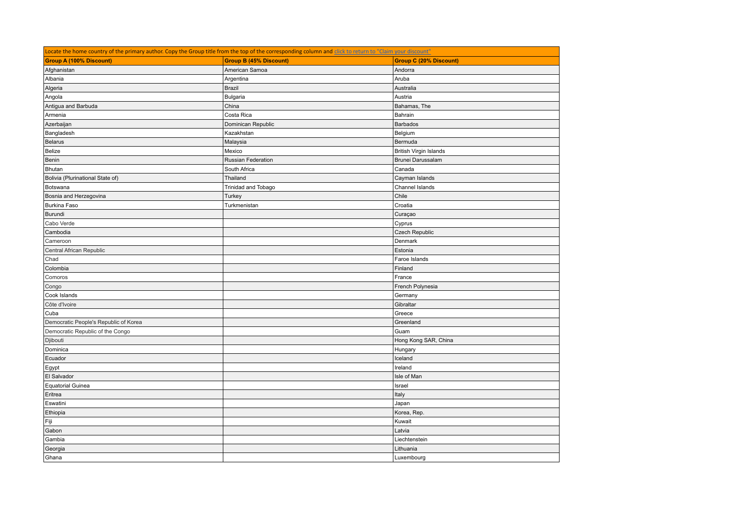| Locate the home country of the primary author. Copy the Group title from the top of the corresponding column and click to return to "Claim your discount" |                               |                               |  |  |
|-----------------------------------------------------------------------------------------------------------------------------------------------------------|-------------------------------|-------------------------------|--|--|
| <b>Group A (100% Discount)</b>                                                                                                                            | <b>Group B (45% Discount)</b> | <b>Group C (20% Discount)</b> |  |  |
| Afghanistan                                                                                                                                               | American Samoa                | Andorra                       |  |  |
| Albania                                                                                                                                                   | Argentina                     | Aruba                         |  |  |
| Algeria                                                                                                                                                   | <b>Brazil</b>                 | Australia                     |  |  |
| Angola                                                                                                                                                    | Bulgaria                      | Austria                       |  |  |
| Antigua and Barbuda                                                                                                                                       | China                         | Bahamas, The                  |  |  |
| Armenia                                                                                                                                                   | Costa Rica                    | Bahrain                       |  |  |
| Azerbaijan                                                                                                                                                | Dominican Republic            | <b>Barbados</b>               |  |  |
| Bangladesh                                                                                                                                                | Kazakhstan                    | Belgium                       |  |  |
| Belarus                                                                                                                                                   | Malaysia                      | Bermuda                       |  |  |
| Belize                                                                                                                                                    | Mexico                        | <b>British Virgin Islands</b> |  |  |
| Benin                                                                                                                                                     | Russian Federation            | Brunei Darussalam             |  |  |
| Bhutan                                                                                                                                                    | South Africa                  | Canada                        |  |  |
| Bolivia (Plurinational State of)                                                                                                                          | Thailand                      | Cayman Islands                |  |  |
| Botswana                                                                                                                                                  | Trinidad and Tobago           | Channel Islands               |  |  |
| Bosnia and Herzegovina                                                                                                                                    | Turkey                        | Chile                         |  |  |
| <b>Burkina Faso</b>                                                                                                                                       | Turkmenistan                  | Croatia                       |  |  |
| Burundi                                                                                                                                                   |                               | Curaçao                       |  |  |
| Cabo Verde                                                                                                                                                |                               | Cyprus                        |  |  |
| Cambodia                                                                                                                                                  |                               | Czech Republic                |  |  |
| Cameroon                                                                                                                                                  |                               | Denmark                       |  |  |
| Central African Republic                                                                                                                                  |                               | Estonia                       |  |  |
| Chad                                                                                                                                                      |                               | Faroe Islands                 |  |  |
| Colombia                                                                                                                                                  |                               | Finland                       |  |  |
| Comoros                                                                                                                                                   |                               | France                        |  |  |
| Congo                                                                                                                                                     |                               | French Polynesia              |  |  |
| Cook Islands                                                                                                                                              |                               | Germany                       |  |  |
| Côte d'Ivoire                                                                                                                                             |                               | Gibraltar                     |  |  |
| Cuba                                                                                                                                                      |                               | Greece                        |  |  |
| Democratic People's Republic of Korea                                                                                                                     |                               | Greenland                     |  |  |
| Democratic Republic of the Congo                                                                                                                          |                               | Guam                          |  |  |
| Djibouti                                                                                                                                                  |                               | Hong Kong SAR, China          |  |  |
| Dominica                                                                                                                                                  |                               | Hungary                       |  |  |
| Ecuador                                                                                                                                                   |                               | Iceland                       |  |  |
| Egypt                                                                                                                                                     |                               | Ireland                       |  |  |
| El Salvador                                                                                                                                               |                               | Isle of Man                   |  |  |
| <b>Equatorial Guinea</b>                                                                                                                                  |                               | Israel                        |  |  |
| Eritrea                                                                                                                                                   |                               | Italy                         |  |  |
| Eswatini                                                                                                                                                  |                               | Japan                         |  |  |
| Ethiopia                                                                                                                                                  |                               | Korea, Rep.                   |  |  |
| Fiji                                                                                                                                                      |                               | Kuwait                        |  |  |
| Gabon                                                                                                                                                     |                               | Latvia                        |  |  |
| Gambia                                                                                                                                                    |                               | Liechtenstein                 |  |  |
| Georgia                                                                                                                                                   |                               | Lithuania                     |  |  |
| Ghana                                                                                                                                                     |                               | Luxembourg                    |  |  |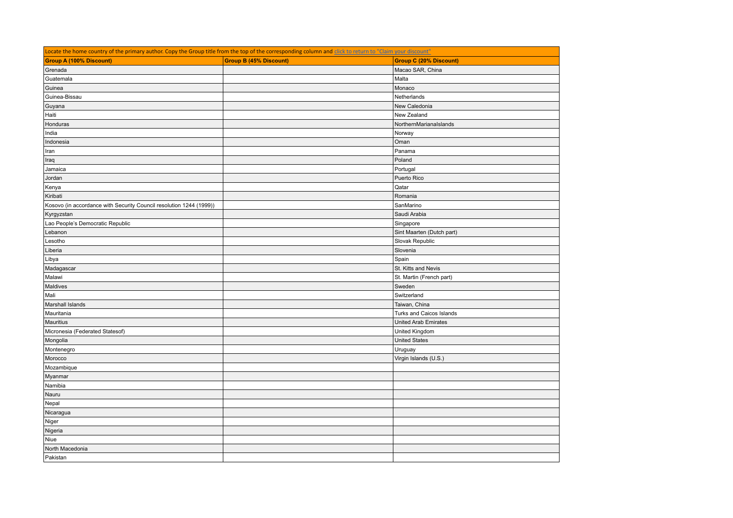| Locate the home country of the primary author. Copy the Group title from the top of the corresponding column and click to return to "Claim your discount" |                               |                               |  |  |
|-----------------------------------------------------------------------------------------------------------------------------------------------------------|-------------------------------|-------------------------------|--|--|
| <b>Group A (100% Discount)</b>                                                                                                                            | <b>Group B (45% Discount)</b> | <b>Group C (20% Discount)</b> |  |  |
| Grenada                                                                                                                                                   |                               | Macao SAR, China              |  |  |
| Guatemala                                                                                                                                                 |                               | Malta                         |  |  |
| Guinea                                                                                                                                                    |                               | Monaco                        |  |  |
| Guinea-Bissau                                                                                                                                             |                               | Netherlands                   |  |  |
| Guyana                                                                                                                                                    |                               | New Caledonia                 |  |  |
| Haiti                                                                                                                                                     |                               | New Zealand                   |  |  |
| Honduras                                                                                                                                                  |                               | NorthernMarianaIslands        |  |  |
| India                                                                                                                                                     |                               | Norway                        |  |  |
| Indonesia                                                                                                                                                 |                               | Oman                          |  |  |
| Iran                                                                                                                                                      |                               | Panama                        |  |  |
| Iraq                                                                                                                                                      |                               | Poland                        |  |  |
| Jamaica                                                                                                                                                   |                               | Portugal                      |  |  |
| Jordan                                                                                                                                                    |                               | Puerto Rico                   |  |  |
| Kenya                                                                                                                                                     |                               | Qatar                         |  |  |
| Kiribati                                                                                                                                                  |                               | Romania                       |  |  |
| Kosovo (in accordance with Security Council resolution 1244 (1999))                                                                                       |                               | SanMarino                     |  |  |
| Kyrgyzstan                                                                                                                                                |                               | Saudi Arabia                  |  |  |
| Lao People's Democratic Republic                                                                                                                          |                               | Singapore                     |  |  |
| Lebanon                                                                                                                                                   |                               | Sint Maarten (Dutch part)     |  |  |
| Lesotho                                                                                                                                                   |                               | Slovak Republic               |  |  |
| Liberia                                                                                                                                                   |                               | Slovenia                      |  |  |
| Libya                                                                                                                                                     |                               | Spain                         |  |  |
| Madagascar                                                                                                                                                |                               | St. Kitts and Nevis           |  |  |
| Malawi                                                                                                                                                    |                               | St. Martin (French part)      |  |  |
| Maldives                                                                                                                                                  |                               | Sweden                        |  |  |
| Mali                                                                                                                                                      |                               | Switzerland                   |  |  |
| Marshall Islands                                                                                                                                          |                               | Taiwan, China                 |  |  |
| Mauritania                                                                                                                                                |                               | Turks and Caicos Islands      |  |  |
| Mauritius                                                                                                                                                 |                               | <b>United Arab Emirates</b>   |  |  |
| Micronesia (Federated Statesof)                                                                                                                           |                               | United Kingdom                |  |  |
| Mongolia                                                                                                                                                  |                               | <b>United States</b>          |  |  |
| Montenegro                                                                                                                                                |                               | Uruguay                       |  |  |
| Morocco                                                                                                                                                   |                               | Virgin Islands (U.S.)         |  |  |
| Mozambique                                                                                                                                                |                               |                               |  |  |
| Myanmar                                                                                                                                                   |                               |                               |  |  |
| Namibia                                                                                                                                                   |                               |                               |  |  |
| Nauru                                                                                                                                                     |                               |                               |  |  |
| Nepal                                                                                                                                                     |                               |                               |  |  |
| Nicaragua                                                                                                                                                 |                               |                               |  |  |
| Niger                                                                                                                                                     |                               |                               |  |  |
| Nigeria                                                                                                                                                   |                               |                               |  |  |
| Niue                                                                                                                                                      |                               |                               |  |  |
| North Macedonia                                                                                                                                           |                               |                               |  |  |
| Pakistan                                                                                                                                                  |                               |                               |  |  |